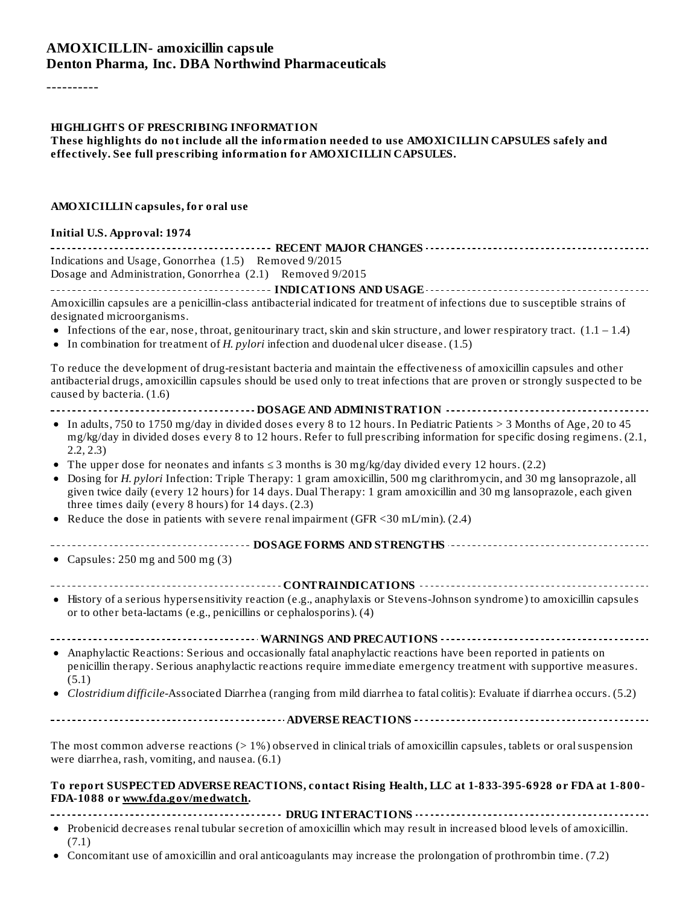#### **AMOXICILLIN- amoxicillin capsule Denton Pharma, Inc. DBA Northwind Pharmaceuticals**

----------

#### **HIGHLIGHTS OF PRESCRIBING INFORMATION**

**These highlights do not include all the information needed to use AMOXICILLIN CAPSULES safely and effectively. See full prescribing information for AMOXICILLIN CAPSULES.**

#### **AMOXICILLIN capsules, for oral use**

#### **Initial U.S. Approval: 1974**

| Indications and Usage, Gonorrhea (1.5) Removed 9/2015                                                                                                                                                                                                                                                                                                                                                              |
|--------------------------------------------------------------------------------------------------------------------------------------------------------------------------------------------------------------------------------------------------------------------------------------------------------------------------------------------------------------------------------------------------------------------|
| Dosage and Administration, Gonorrhea (2.1) Removed 9/2015                                                                                                                                                                                                                                                                                                                                                          |
|                                                                                                                                                                                                                                                                                                                                                                                                                    |
| Amoxicillin capsules are a penicillin-class antibacterial indicated for treatment of infections due to susceptible strains of<br>designated microorganisms.<br>• Infections of the ear, nose, throat, genitourinary tract, skin and skin structure, and lower respiratory tract. $(1.1 - 1.4)$<br>• In combination for treatment of H. pylori infection and duodenal ulcer disease. (1.5)                          |
| To reduce the development of drug-resistant bacteria and maintain the effectiveness of amoxicillin capsules and other<br>antibacterial drugs, amoxicillin capsules should be used only to treat infections that are proven or strongly suspected to be<br>caused by bacteria. (1.6)                                                                                                                                |
|                                                                                                                                                                                                                                                                                                                                                                                                                    |
| • In adults, 750 to 1750 mg/day in divided doses every 8 to 12 hours. In Pediatric Patients > 3 Months of Age, 20 to 45<br>mg/kg/day in divided doses every 8 to 12 hours. Refer to full prescribing information for specific dosing regimens. (2.1,<br>2.2, 2.3)                                                                                                                                                  |
| • The upper dose for neonates and infants $\leq$ 3 months is 30 mg/kg/day divided every 12 hours. (2.2)<br>• Dosing for H. pylori Infection: Triple Therapy: 1 gram amoxicillin, 500 mg clarithromycin, and 30 mg lansoprazole, all<br>given twice daily (every 12 hours) for 14 days. Dual Therapy: 1 gram amoxicillin and 30 mg lansoprazole, each given<br>three times daily (every 8 hours) for 14 days. (2.3) |
| • Reduce the dose in patients with severe renal impairment (GFR <30 mL/min). (2.4)                                                                                                                                                                                                                                                                                                                                 |
|                                                                                                                                                                                                                                                                                                                                                                                                                    |
| ------------------------------------- DOSAGE FORMS AND STRENGTHS ----------------------------------<br>• Capsules: $250 \text{ mg}$ and $500 \text{ mg}$ (3)                                                                                                                                                                                                                                                       |
|                                                                                                                                                                                                                                                                                                                                                                                                                    |
| • History of a serious hypersensitivity reaction (e.g., anaphylaxis or Stevens-Johnson syndrome) to amoxicillin capsules<br>or to other beta-lactams (e.g., penicillins or cephalosporins). (4)                                                                                                                                                                                                                    |
|                                                                                                                                                                                                                                                                                                                                                                                                                    |
| • Anaphylactic Reactions: Serious and occasionally fatal anaphylactic reactions have been reported in patients on<br>penicillin therapy. Serious anaphylactic reactions require immediate emergency treatment with supportive measures.<br>(5.1)                                                                                                                                                                   |
| • Clostridium difficile-Associated Diarrhea (ranging from mild diarrhea to fatal colitis): Evaluate if diarrhea occurs. (5.2)                                                                                                                                                                                                                                                                                      |
|                                                                                                                                                                                                                                                                                                                                                                                                                    |
|                                                                                                                                                                                                                                                                                                                                                                                                                    |
| The most common adverse reactions $(>1%)$ observed in clinical trials of amoxicillin capsules, tablets or oral suspension<br>were diarrhea, rash, vomiting, and nausea. (6.1)                                                                                                                                                                                                                                      |
| To report SUSPECTED ADVERSE REACTIONS, contact Rising Health, LLC at 1-833-395-6928 or FDA at 1-800-<br>FDA-1088 or www.fda.gov/medwatch.                                                                                                                                                                                                                                                                          |
|                                                                                                                                                                                                                                                                                                                                                                                                                    |
| • Probenicid decreases renal tubular secretion of amoxicillin which may result in increased blood levels of amoxicillin.<br>(7.1)                                                                                                                                                                                                                                                                                  |

Concomitant use of amoxicillin and oral anticoagulants may increase the prolongation of prothrombin time. (7.2)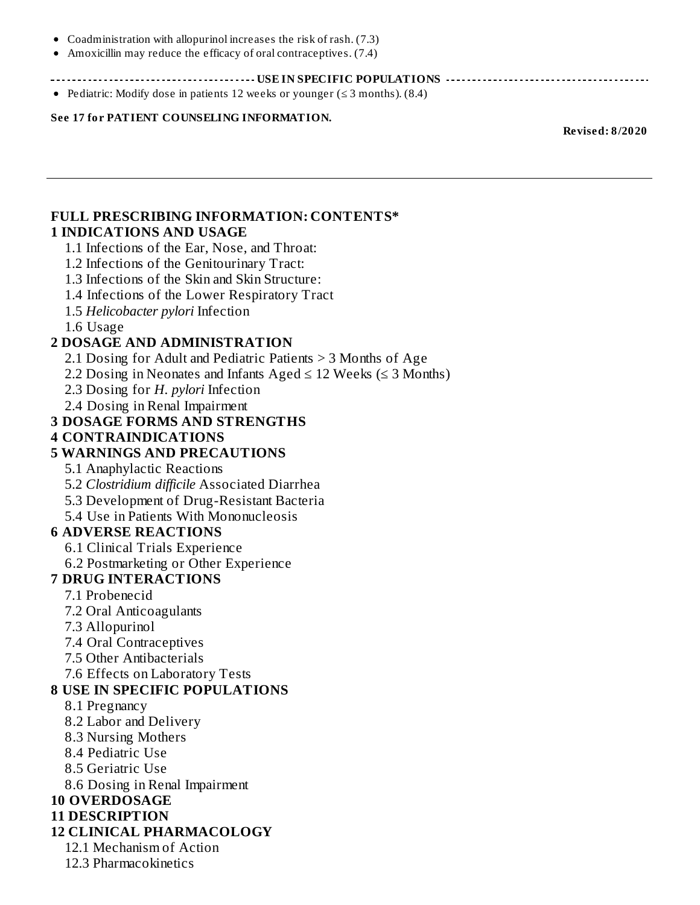- Coadministration with allopurinol increases the risk of rash. (7.3)
- Amoxicillin may reduce the efficacy of oral contraceptives. (7.4)

**USE IN SPECIFIC POPULATIONS**

• Pediatric: Modify dose in patients 12 weeks or younger ( $\leq$  3 months). (8.4)

**See 17 for PATIENT COUNSELING INFORMATION.**

**Revised: 8/2020**

#### **FULL PRESCRIBING INFORMATION: CONTENTS\* 1 INDICATIONS AND USAGE**

- 1.1 Infections of the Ear, Nose, and Throat:
- 1.2 Infections of the Genitourinary Tract:
- 1.3 Infections of the Skin and Skin Structure:
- 1.4 Infections of the Lower Respiratory Tract
- 1.5 *Helicobacter pylori* Infection
- 1.6 Usage

#### **2 DOSAGE AND ADMINISTRATION**

- 2.1 Dosing for Adult and Pediatric Patients > 3 Months of Age
- 2.2 Dosing in Neonates and Infants Aged  $\leq$  12 Weeks ( $\leq$  3 Months)
- 2.3 Dosing for *H. pylori* Infection
- 2.4 Dosing in Renal Impairment

#### **3 DOSAGE FORMS AND STRENGTHS**

#### **4 CONTRAINDICATIONS**

#### **5 WARNINGS AND PRECAUTIONS**

- 5.1 Anaphylactic Reactions
- 5.2 *Clostridium difficile* Associated Diarrhea
- 5.3 Development of Drug-Resistant Bacteria
- 5.4 Use in Patients With Mononucleosis

#### **6 ADVERSE REACTIONS**

- 6.1 Clinical Trials Experience
- 6.2 Postmarketing or Other Experience

#### **7 DRUG INTERACTIONS**

- 7.1 Probenecid
- 7.2 Oral Anticoagulants
- 7.3 Allopurinol
- 7.4 Oral Contraceptives
- 7.5 Other Antibacterials
- 7.6 Effects on Laboratory Tests

#### **8 USE IN SPECIFIC POPULATIONS**

- 8.1 Pregnancy
- 8.2 Labor and Delivery
- 8.3 Nursing Mothers
- 8.4 Pediatric Use
- 8.5 Geriatric Use
- 8.6 Dosing in Renal Impairment

#### **10 OVERDOSAGE**

#### **11 DESCRIPTION**

#### **12 CLINICAL PHARMACOLOGY**

- 12.1 Mechanism of Action
- 12.3 Pharmacokinetics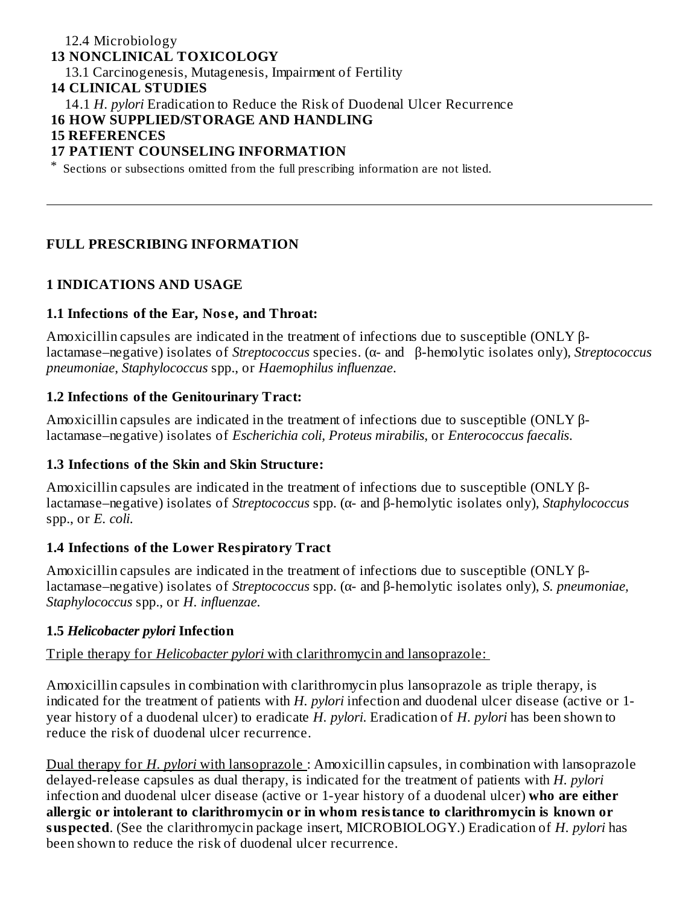#### 12.4 Microbiology **13 NONCLINICAL TOXICOLOGY** 13.1 Carcinogenesis, Mutagenesis, Impairment of Fertility **14 CLINICAL STUDIES** 14.1 *H. pylori* Eradication to Reduce the Risk of Duodenal Ulcer Recurrence **16 HOW SUPPLIED/STORAGE AND HANDLING 15 REFERENCES 17 PATIENT COUNSELING INFORMATION** \* Sections or subsections omitted from the full prescribing information are not listed.

#### **FULL PRESCRIBING INFORMATION**

#### **1 INDICATIONS AND USAGE**

#### **1.1 Infections of the Ear, Nos e, and Throat:**

Amoxicillin capsules are indicated in the treatment of infections due to susceptible (ONLY βlactamase–negative) isolates of *Streptococcus* species. (α- and β-hemolytic isolates only), *Streptococcus pneumoniae*, *Staphylococcus* spp., or *Haemophilus influenzae*.

#### **1.2 Infections of the Genitourinary Tract:**

Amoxicillin capsules are indicated in the treatment of infections due to susceptible ( $ONLY \beta$ lactamase–negative) isolates of *Escherichia coli, Proteus mirabilis*, or *Enterococcus faecalis*.

#### **1.3 Infections of the Skin and Skin Structure:**

Amoxicillin capsules are indicated in the treatment of infections due to susceptible (ONLY βlactamase–negative) isolates of *Streptococcus* spp. (α- and β-hemolytic isolates only), *Staphylococcus* spp., or *E. coli*.

#### **1.4 Infections of the Lower Respiratory Tract**

Amoxicillin capsules are indicated in the treatment of infections due to susceptible (ONLY βlactamase–negative) isolates of *Streptococcus* spp. (α- and β-hemolytic isolates only), *S. pneumoniae, Staphylococcus* spp., or *H. influenzae*.

#### **1.5** *Helicobacter pylori* **Infection**

#### Triple therapy for *Helicobacter pylori* with clarithromycin and lansoprazole:

Amoxicillin capsules in combination with clarithromycin plus lansoprazole as triple therapy, is indicated for the treatment of patients with *H. pylori* infection and duodenal ulcer disease (active or 1 year history of a duodenal ulcer) to eradicate *H. pylori*. Eradication of *H. pylori* has been shown to reduce the risk of duodenal ulcer recurrence.

Dual therapy for *H. pylori* with lansoprazole : Amoxicillin capsules, in combination with lansoprazole delayed-release capsules as dual therapy, is indicated for the treatment of patients with *H. pylori* infection and duodenal ulcer disease (active or 1-year history of a duodenal ulcer) **who are either allergic or intolerant to clarithromycin or in whom resistance to clarithromycin is known or suspected**. (See the clarithromycin package insert, MICROBIOLOGY.) Eradication of *H. pylori* has been shown to reduce the risk of duodenal ulcer recurrence.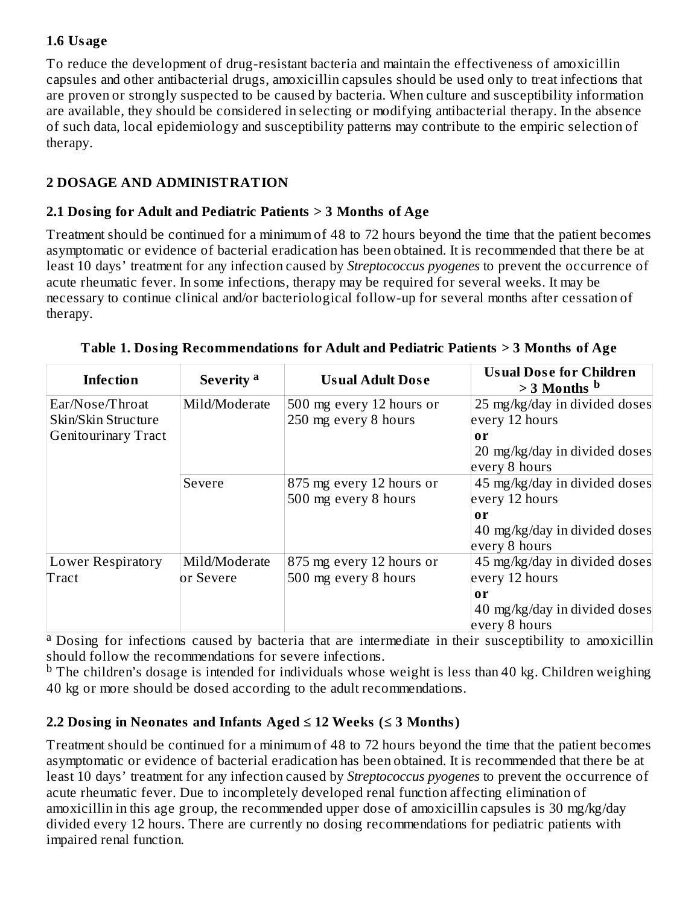## **1.6 Usage**

To reduce the development of drug-resistant bacteria and maintain the effectiveness of amoxicillin capsules and other antibacterial drugs, amoxicillin capsules should be used only to treat infections that are proven or strongly suspected to be caused by bacteria. When culture and susceptibility information are available, they should be considered in selecting or modifying antibacterial therapy. In the absence of such data, local epidemiology and susceptibility patterns may contribute to the empiric selection of therapy.

# **2 DOSAGE AND ADMINISTRATION**

## **2.1 Dosing for Adult and Pediatric Patients > 3 Months of Age**

Treatment should be continued for a minimum of 48 to 72 hours beyond the time that the patient becomes asymptomatic or evidence of bacterial eradication has been obtained. It is recommended that there be at least 10 days' treatment for any infection caused by *Streptococcus pyogenes* to prevent the occurrence of acute rheumatic fever. In some infections, therapy may be required for several weeks. It may be necessary to continue clinical and/or bacteriological follow-up for several months after cessation of therapy.

| Infection                              | Severity <sup>a</sup>      | <b>Usual Adult Dose</b>                          | <b>Usual Dose for Children</b><br>$>$ 3 Months $b$                       |
|----------------------------------------|----------------------------|--------------------------------------------------|--------------------------------------------------------------------------|
| Ear/Nose/Throat<br>Skin/Skin Structure | Mild/Moderate              | 500 mg every 12 hours or<br>250 mg every 8 hours | 25 mg/kg/day in divided doses<br>every 12 hours                          |
| <b>Genitourinary Tract</b>             |                            |                                                  | 0r<br>20 mg/kg/day in divided doses<br>every 8 hours                     |
|                                        | Severe                     | 875 mg every 12 hours or<br>500 mg every 8 hours | 45 mg/kg/day in divided doses<br>every 12 hours                          |
|                                        |                            |                                                  | $\mathbf{0}\mathbf{r}$<br>40 mg/kg/day in divided doses<br>every 8 hours |
| Lower Respiratory<br>Tract             | Mild/Moderate<br>or Severe | 875 mg every 12 hours or<br>500 mg every 8 hours | 45 mg/kg/day in divided doses<br>every 12 hours                          |
|                                        |                            |                                                  | $\mathbf{0}\mathbf{r}$<br>40 mg/kg/day in divided doses<br>every 8 hours |

| Table 1. Dosing Recommendations for Adult and Pediatric Patients > 3 Months of Age |  |
|------------------------------------------------------------------------------------|--|

<sup>a</sup> Dosing for infections caused by bacteria that are intermediate in their susceptibility to amoxicillin should follow the recommendations for severe infections.

 $^{\rm b}$  The children's dosage is intended for individuals whose weight is less than 40 kg. Children weighing 40 kg or more should be dosed according to the adult recommendations.

## **2.2 Dosing in Neonates and Infants Aged ≤ 12 Weeks (≤ 3 Months)**

Treatment should be continued for a minimum of 48 to 72 hours beyond the time that the patient becomes asymptomatic or evidence of bacterial eradication has been obtained. It is recommended that there be at least 10 days' treatment for any infection caused by *Streptococcus pyogenes* to prevent the occurrence of acute rheumatic fever. Due to incompletely developed renal function affecting elimination of amoxicillin in this age group, the recommended upper dose of amoxicillin capsules is 30 mg/kg/day divided every 12 hours. There are currently no dosing recommendations for pediatric patients with impaired renal function.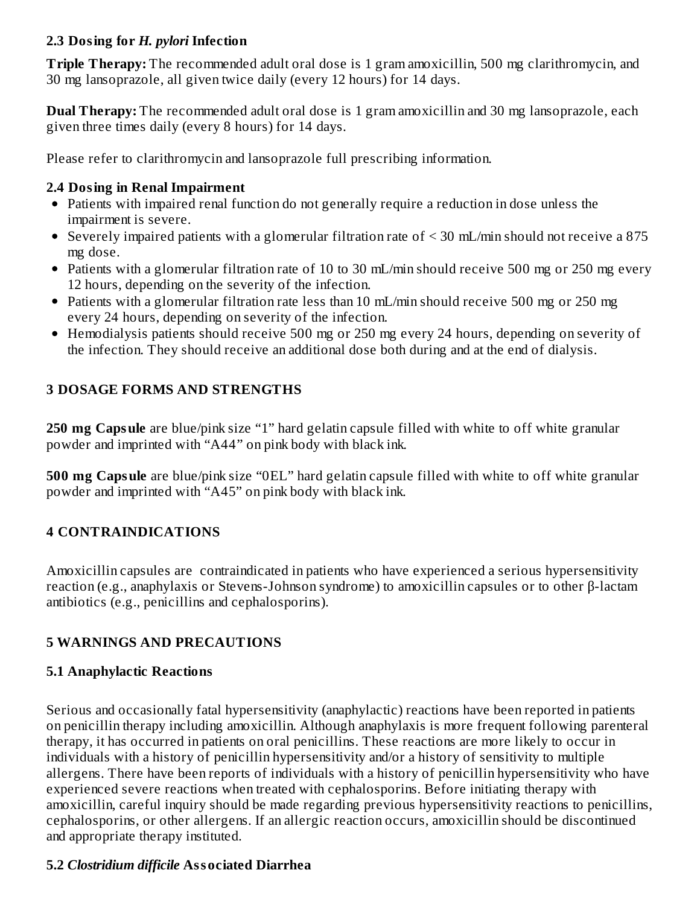#### **2.3 Dosing for** *H. pylori* **Infection**

**Triple Therapy:** The recommended adult oral dose is 1 gram amoxicillin, 500 mg clarithromycin, and 30 mg lansoprazole, all given twice daily (every 12 hours) for 14 days.

**Dual Therapy:** The recommended adult oral dose is 1 gram amoxicillin and 30 mg lansoprazole, each given three times daily (every 8 hours) for 14 days.

Please refer to clarithromycin and lansoprazole full prescribing information.

## **2.4 Dosing in Renal Impairment**

- Patients with impaired renal function do not generally require a reduction in dose unless the impairment is severe.
- Severely impaired patients with a glomerular filtration rate of < 30 mL/min should not receive a 875 mg dose.
- Patients with a glomerular filtration rate of 10 to 30 mL/min should receive 500 mg or 250 mg every 12 hours, depending on the severity of the infection.
- Patients with a glomerular filtration rate less than 10 mL/min should receive 500 mg or 250 mg every 24 hours, depending on severity of the infection.
- Hemodialysis patients should receive 500 mg or 250 mg every 24 hours, depending on severity of the infection. They should receive an additional dose both during and at the end of dialysis.

# **3 DOSAGE FORMS AND STRENGTHS**

**250 mg Capsule** are blue/pink size "1" hard gelatin capsule filled with white to off white granular powder and imprinted with "A44" on pink body with black ink.

**500 mg Capsule** are blue/pink size "0EL" hard gelatin capsule filled with white to off white granular powder and imprinted with "A45" on pink body with black ink.

# **4 CONTRAINDICATIONS**

Amoxicillin capsules are contraindicated in patients who have experienced a serious hypersensitivity reaction (e.g., anaphylaxis or Stevens-Johnson syndrome) to amoxicillin capsules or to other β-lactam antibiotics (e.g., penicillins and cephalosporins).

## **5 WARNINGS AND PRECAUTIONS**

## **5.1 Anaphylactic Reactions**

Serious and occasionally fatal hypersensitivity (anaphylactic) reactions have been reported in patients on penicillin therapy including amoxicillin. Although anaphylaxis is more frequent following parenteral therapy, it has occurred in patients on oral penicillins. These reactions are more likely to occur in individuals with a history of penicillin hypersensitivity and/or a history of sensitivity to multiple allergens. There have been reports of individuals with a history of penicillin hypersensitivity who have experienced severe reactions when treated with cephalosporins. Before initiating therapy with amoxicillin, careful inquiry should be made regarding previous hypersensitivity reactions to penicillins, cephalosporins, or other allergens. If an allergic reaction occurs, amoxicillin should be discontinued and appropriate therapy instituted.

## **5.2** *Clostridium difficile* **Associated Diarrhea**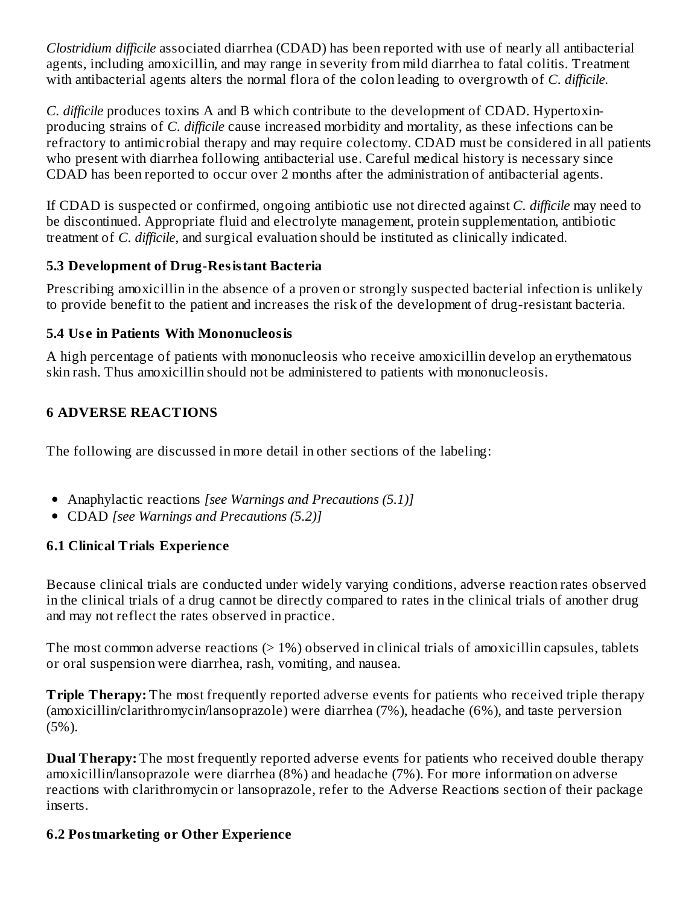*Clostridium difficile* associated diarrhea (CDAD) has been reported with use of nearly all antibacterial agents, including amoxicillin, and may range in severity from mild diarrhea to fatal colitis. Treatment with antibacterial agents alters the normal flora of the colon leading to overgrowth of *C. difficile.*

*C. difficile* produces toxins A and B which contribute to the development of CDAD. Hypertoxinproducing strains of *C. difficile* cause increased morbidity and mortality, as these infections can be refractory to antimicrobial therapy and may require colectomy. CDAD must be considered in all patients who present with diarrhea following antibacterial use. Careful medical history is necessary since CDAD has been reported to occur over 2 months after the administration of antibacterial agents.

If CDAD is suspected or confirmed, ongoing antibiotic use not directed against *C. difficile* may need to be discontinued. Appropriate fluid and electrolyte management, protein supplementation, antibiotic treatment of *C. difficile*, and surgical evaluation should be instituted as clinically indicated.

## **5.3 Development of Drug-Resistant Bacteria**

Prescribing amoxicillin in the absence of a proven or strongly suspected bacterial infection is unlikely to provide benefit to the patient and increases the risk of the development of drug-resistant bacteria.

#### **5.4 Us e in Patients With Mononucleosis**

A high percentage of patients with mononucleosis who receive amoxicillin develop an erythematous skin rash. Thus amoxicillin should not be administered to patients with mononucleosis.

# **6 ADVERSE REACTIONS**

The following are discussed in more detail in other sections of the labeling:

- Anaphylactic reactions *[see Warnings and Precautions (5.1)]*
- CDAD *[see Warnings and Precautions (5.2)]*

## **6.1 Clinical Trials Experience**

Because clinical trials are conducted under widely varying conditions, adverse reaction rates observed in the clinical trials of a drug cannot be directly compared to rates in the clinical trials of another drug and may not reflect the rates observed in practice.

The most common adverse reactions  $(> 1%)$  observed in clinical trials of amoxicillin capsules, tablets or oral suspension were diarrhea, rash, vomiting, and nausea.

**Triple Therapy:** The most frequently reported adverse events for patients who received triple therapy (amoxicillin/clarithromycin/lansoprazole) were diarrhea (7%), headache (6%), and taste perversion (5%).

**Dual Therapy:** The most frequently reported adverse events for patients who received double therapy amoxicillin/lansoprazole were diarrhea (8%) and headache (7%). For more information on adverse reactions with clarithromycin or lansoprazole, refer to the Adverse Reactions section of their package inserts.

## **6.2 Postmarketing or Other Experience**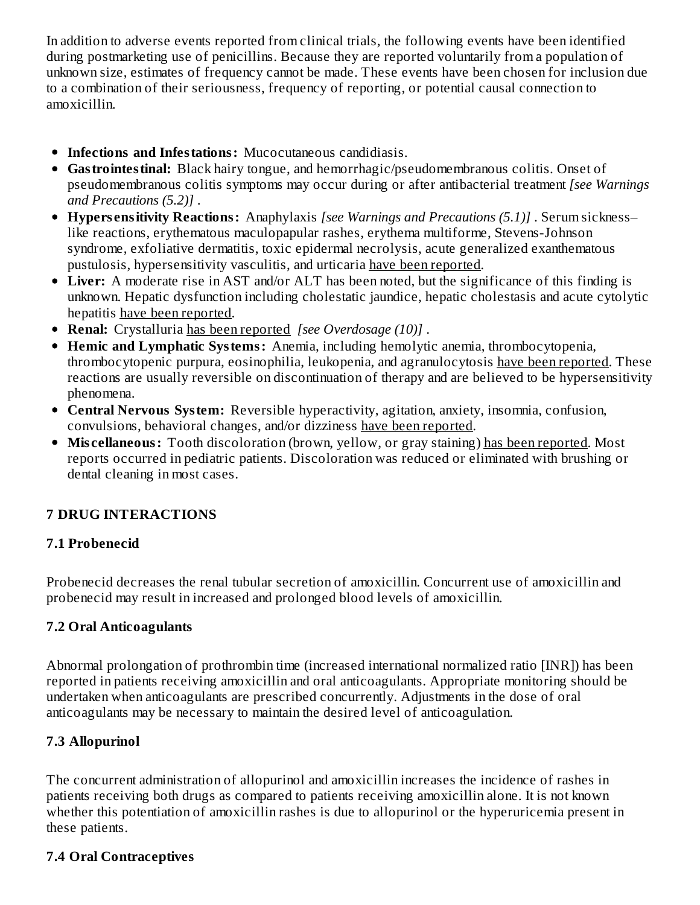In addition to adverse events reported from clinical trials, the following events have been identified during postmarketing use of penicillins. Because they are reported voluntarily from a population of unknown size, estimates of frequency cannot be made. These events have been chosen for inclusion due to a combination of their seriousness, frequency of reporting, or potential causal connection to amoxicillin.

- **Infections and Infestations:** Mucocutaneous candidiasis.
- **Gastrointestinal:** Black hairy tongue, and hemorrhagic/pseudomembranous colitis. Onset of pseudomembranous colitis symptoms may occur during or after antibacterial treatment *[see Warnings and Precautions (5.2)]* .
- **Hypers ensitivity Reactions:** Anaphylaxis *[see Warnings and Precautions (5.1)]* . Serum sickness– like reactions, erythematous maculopapular rashes, erythema multiforme, Stevens-Johnson syndrome, exfoliative dermatitis, toxic epidermal necrolysis, acute generalized exanthematous pustulosis, hypersensitivity vasculitis, and urticaria have been reported.
- **Liver:** A moderate rise in AST and/or ALT has been noted, but the significance of this finding is unknown. Hepatic dysfunction including cholestatic jaundice, hepatic cholestasis and acute cytolytic hepatitis have been reported.
- **Renal:** Crystalluria has been reported *[see Overdosage (10)]* .
- **Hemic and Lymphatic Systems:** Anemia, including hemolytic anemia, thrombocytopenia, thrombocytopenic purpura, eosinophilia, leukopenia, and agranulocytosis have been reported. These reactions are usually reversible on discontinuation of therapy and are believed to be hypersensitivity phenomena.
- **Central Nervous System:** Reversible hyperactivity, agitation, anxiety, insomnia, confusion, convulsions, behavioral changes, and/or dizziness have been reported.
- **Mis cellaneous:** Tooth discoloration (brown, yellow, or gray staining) has been reported. Most reports occurred in pediatric patients. Discoloration was reduced or eliminated with brushing or dental cleaning in most cases.

## **7 DRUG INTERACTIONS**

## **7.1 Probenecid**

Probenecid decreases the renal tubular secretion of amoxicillin. Concurrent use of amoxicillin and probenecid may result in increased and prolonged blood levels of amoxicillin.

## **7.2 Oral Anticoagulants**

Abnormal prolongation of prothrombin time (increased international normalized ratio [INR]) has been reported in patients receiving amoxicillin and oral anticoagulants. Appropriate monitoring should be undertaken when anticoagulants are prescribed concurrently. Adjustments in the dose of oral anticoagulants may be necessary to maintain the desired level of anticoagulation.

## **7.3 Allopurinol**

The concurrent administration of allopurinol and amoxicillin increases the incidence of rashes in patients receiving both drugs as compared to patients receiving amoxicillin alone. It is not known whether this potentiation of amoxicillin rashes is due to allopurinol or the hyperuricemia present in these patients.

## **7.4 Oral Contraceptives**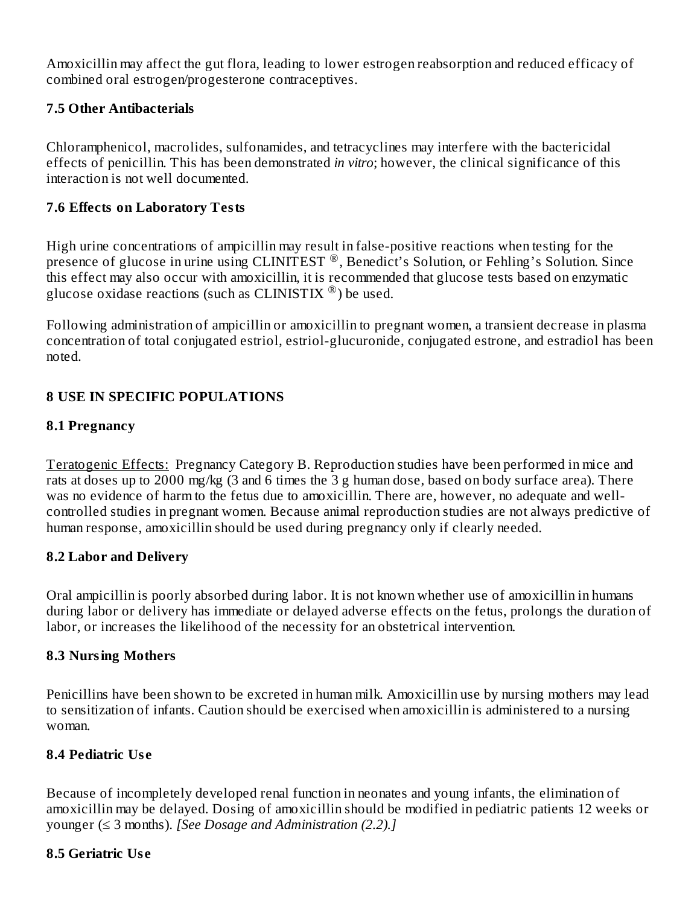Amoxicillin may affect the gut flora, leading to lower estrogen reabsorption and reduced efficacy of combined oral estrogen/progesterone contraceptives.

#### **7.5 Other Antibacterials**

Chloramphenicol, macrolides, sulfonamides, and tetracyclines may interfere with the bactericidal effects of penicillin. This has been demonstrated *in vitro*; however, the clinical significance of this interaction is not well documented.

#### **7.6 Effects on Laboratory Tests**

High urine concentrations of ampicillin may result in false-positive reactions when testing for the presence of glucose in urine using CLINITEST<sup>®</sup>, Benedict's Solution, or Fehling's Solution. Since this effect may also occur with amoxicillin, it is recommended that glucose tests based on enzymatic glucose oxidase reactions (such as CLINISTIX  $^{\circledR}$ ) be used.

Following administration of ampicillin or amoxicillin to pregnant women, a transient decrease in plasma concentration of total conjugated estriol, estriol-glucuronide, conjugated estrone, and estradiol has been noted.

#### **8 USE IN SPECIFIC POPULATIONS**

#### **8.1 Pregnancy**

Teratogenic Effects: Pregnancy Category B. Reproduction studies have been performed in mice and rats at doses up to 2000 mg/kg (3 and 6 times the 3 g human dose, based on body surface area). There was no evidence of harm to the fetus due to amoxicillin. There are, however, no adequate and wellcontrolled studies in pregnant women. Because animal reproduction studies are not always predictive of human response, amoxicillin should be used during pregnancy only if clearly needed.

#### **8.2 Labor and Delivery**

Oral ampicillin is poorly absorbed during labor. It is not known whether use of amoxicillin in humans during labor or delivery has immediate or delayed adverse effects on the fetus, prolongs the duration of labor, or increases the likelihood of the necessity for an obstetrical intervention.

#### **8.3 Nursing Mothers**

Penicillins have been shown to be excreted in human milk. Amoxicillin use by nursing mothers may lead to sensitization of infants. Caution should be exercised when amoxicillin is administered to a nursing woman.

#### **8.4 Pediatric Us e**

Because of incompletely developed renal function in neonates and young infants, the elimination of amoxicillin may be delayed. Dosing of amoxicillin should be modified in pediatric patients 12 weeks or younger (≤ 3 months). *[See Dosage and Administration (2.2).]*

#### **8.5 Geriatric Us e**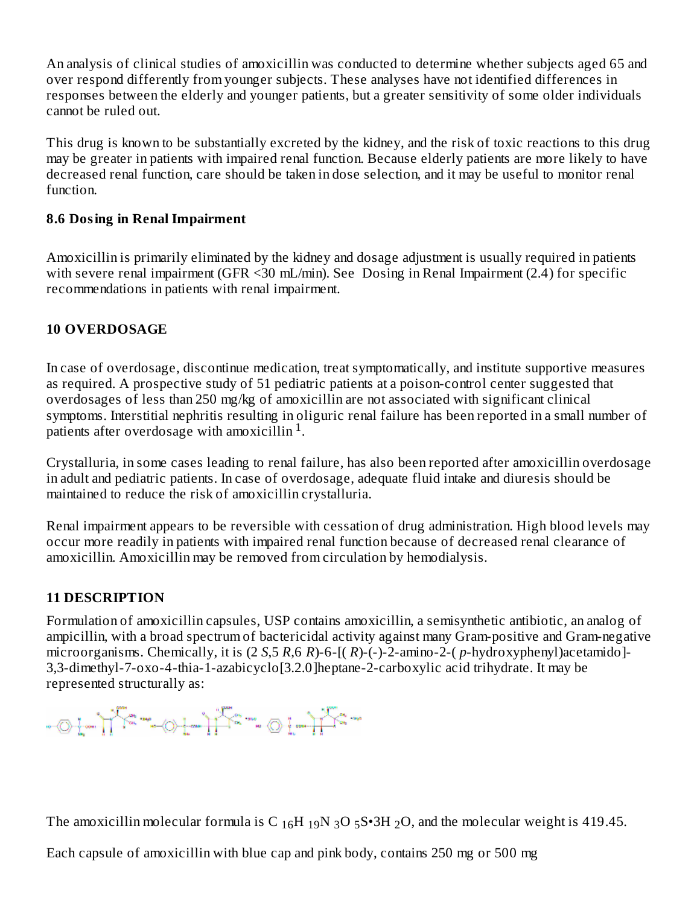An analysis of clinical studies of amoxicillin was conducted to determine whether subjects aged 65 and over respond differently from younger subjects. These analyses have not identified differences in responses between the elderly and younger patients, but a greater sensitivity of some older individuals cannot be ruled out.

This drug is known to be substantially excreted by the kidney, and the risk of toxic reactions to this drug may be greater in patients with impaired renal function. Because elderly patients are more likely to have decreased renal function, care should be taken in dose selection, and it may be useful to monitor renal function.

#### **8.6 Dosing in Renal Impairment**

Amoxicillin is primarily eliminated by the kidney and dosage adjustment is usually required in patients with severe renal impairment (GFR <30 mL/min). See Dosing in Renal Impairment (2.4) for specific recommendations in patients with renal impairment.

#### **10 OVERDOSAGE**

In case of overdosage, discontinue medication, treat symptomatically, and institute supportive measures as required. A prospective study of 51 pediatric patients at a poison-control center suggested that overdosages of less than 250 mg/kg of amoxicillin are not associated with significant clinical symptoms. Interstitial nephritis resulting in oliguric renal failure has been reported in a small number of patients after overdosage with amoxicillin  $1$ .

Crystalluria, in some cases leading to renal failure, has also been reported after amoxicillin overdosage in adult and pediatric patients. In case of overdosage, adequate fluid intake and diuresis should be maintained to reduce the risk of amoxicillin crystalluria.

Renal impairment appears to be reversible with cessation of drug administration. High blood levels may occur more readily in patients with impaired renal function because of decreased renal clearance of amoxicillin. Amoxicillin may be removed from circulation by hemodialysis.

## **11 DESCRIPTION**

Formulation of amoxicillin capsules, USP contains amoxicillin, a semisynthetic antibiotic, an analog of ampicillin, with a broad spectrum of bactericidal activity against many Gram-positive and Gram-negative microorganisms. Chemically, it is (2 *S*,5 *R*,6 *R*)-6-[( *R*)-(-)-2-amino-2-( *p*-hydroxyphenyl)acetamido]- 3,3-dimethyl-7-oxo-4-thia-1-azabicyclo[3.2.0]heptane-2-carboxylic acid trihydrate. It may be represented structurally as:

The amoxicillin molecular formula is C  $_{16}H_{19}N_{3}O_5S\cdot 3H_2O$ , and the molecular weight is 419.45.

Each capsule of amoxicillin with blue cap and pink body, contains 250 mg or 500 mg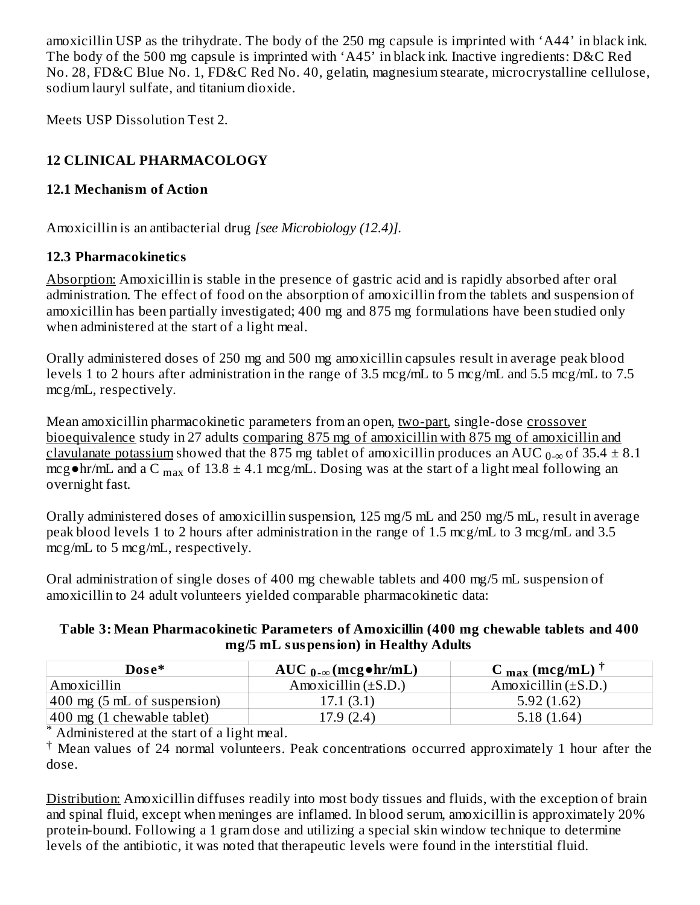amoxicillin USP as the trihydrate. The body of the 250 mg capsule is imprinted with 'A44' in black ink. The body of the 500 mg capsule is imprinted with 'A45' in black ink. Inactive ingredients: D&C Red No. 28, FD&C Blue No. 1, FD&C Red No. 40, gelatin, magnesium stearate, microcrystalline cellulose, sodium lauryl sulfate, and titanium dioxide.

Meets USP Dissolution Test 2.

# **12 CLINICAL PHARMACOLOGY**

# **12.1 Mechanism of Action**

Amoxicillin is an antibacterial drug *[see Microbiology (12.4)].*

## **12.3 Pharmacokinetics**

Absorption: Amoxicillin is stable in the presence of gastric acid and is rapidly absorbed after oral administration. The effect of food on the absorption of amoxicillin from the tablets and suspension of amoxicillin has been partially investigated; 400 mg and 875 mg formulations have been studied only when administered at the start of a light meal.

Orally administered doses of 250 mg and 500 mg amoxicillin capsules result in average peak blood levels 1 to 2 hours after administration in the range of 3.5 mcg/mL to 5 mcg/mL and 5.5 mcg/mL to 7.5 mcg/mL, respectively.

Mean amoxicillin pharmacokinetic parameters from an open, two-part, single-dose crossover bioequivalence study in 27 adults comparing 875 mg of amoxicillin with 875 mg of amoxicillin and <u>clavulanate potassium</u> showed that the 875 mg tablet of amoxicillin produces an AUC  $_{0-\infty}$  of 35.4  $\pm$  8.1 mcg•hr/mL and a C  $_{\rm max}$  of 13.8  $\pm$  4.1 mcg/mL. Dosing was at the start of a light meal following an overnight fast.

Orally administered doses of amoxicillin suspension, 125 mg/5 mL and 250 mg/5 mL, result in average peak blood levels 1 to 2 hours after administration in the range of 1.5 mcg/mL to 3 mcg/mL and 3.5 mcg/mL to 5 mcg/mL, respectively.

Oral administration of single doses of 400 mg chewable tablets and 400 mg/5 mL suspension of amoxicillin to 24 adult volunteers yielded comparable pharmacokinetic data:

#### **Table 3: Mean Pharmacokinetic Parameters of Amoxicillin (400 mg chewable tablets and 400 mg/5 mL suspension) in Healthy Adults**

| Dose*                                  | AUC $_{0-\infty}$ (mcg $\bullet$ hr/mL) | C $_{\text{max}}$ (mcg/mL) <sup><math>\top</math></sup> |
|----------------------------------------|-----------------------------------------|---------------------------------------------------------|
| Amoxicillin                            | Amoxicillin $(\pm S.D.)$                | Amoxicillin $(\pm S.D.)$                                |
| $ 400 \text{ mg}$ (5 mL of suspension) | 17.1(3.1)                               | 5.92(1.62)                                              |
| $ 400 \text{ mg}$ (1 chewable tablet)  | 17.9(2.4)                               | 5.18(1.64)                                              |

\* Administered at the start of a light meal.

Mean values of 24 normal volunteers. Peak concentrations occurred approximately 1 hour after the † dose.

Distribution: Amoxicillin diffuses readily into most body tissues and fluids, with the exception of brain and spinal fluid, except when meninges are inflamed. In blood serum, amoxicillin is approximately 20% protein-bound. Following a 1 gram dose and utilizing a special skin window technique to determine levels of the antibiotic, it was noted that therapeutic levels were found in the interstitial fluid.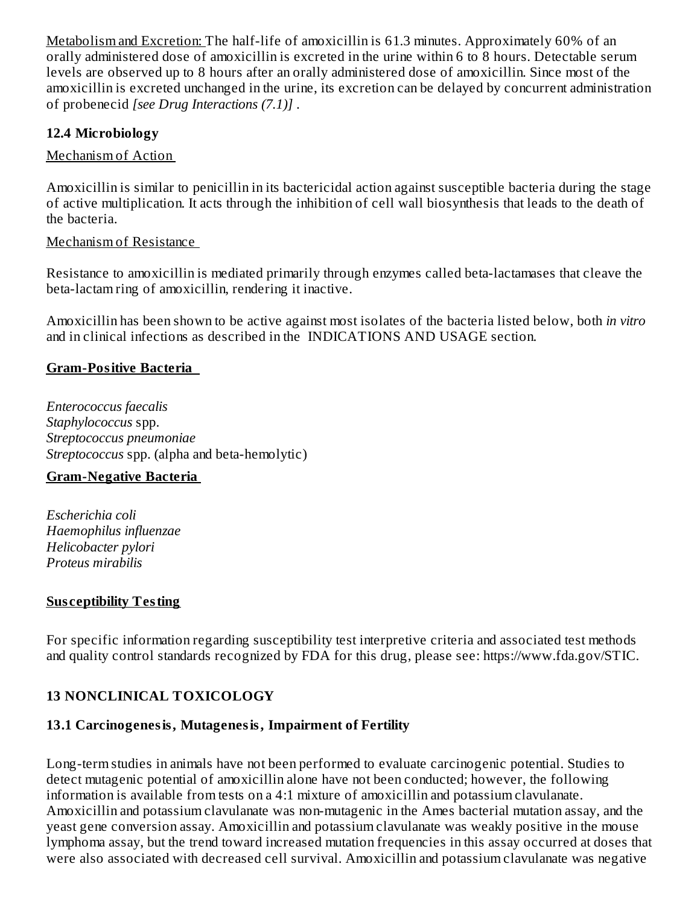Metabolism and Excretion: The half-life of amoxicillin is 61.3 minutes. Approximately 60% of an orally administered dose of amoxicillin is excreted in the urine within 6 to 8 hours. Detectable serum levels are observed up to 8 hours after an orally administered dose of amoxicillin. Since most of the amoxicillin is excreted unchanged in the urine, its excretion can be delayed by concurrent administration of probenecid *[see Drug Interactions (7.1)]* .

## **12.4 Microbiology**

#### Mechanism of Action

Amoxicillin is similar to penicillin in its bactericidal action against susceptible bacteria during the stage of active multiplication. It acts through the inhibition of cell wall biosynthesis that leads to the death of the bacteria.

#### Mechanism of Resistance

Resistance to amoxicillin is mediated primarily through enzymes called beta-lactamases that cleave the beta-lactam ring of amoxicillin, rendering it inactive.

Amoxicillin has been shown to be active against most isolates of the bacteria listed below, both *in vitro* and in clinical infections as described in the INDICATIONS AND USAGE section.

#### **Gram-Positive Bacteria**

*Enterococcus faecalis Staphylococcus* spp. *Streptococcus pneumoniae Streptococcus* spp. (alpha and beta-hemolytic)

#### **Gram-Negative Bacteria**

*Escherichia coli Haemophilus influenzae Helicobacter pylori Proteus mirabilis*

#### **Sus ceptibility Testing**

For specific information regarding susceptibility test interpretive criteria and associated test methods and quality control standards recognized by FDA for this drug, please see: https://www.fda.gov/STIC.

## **13 NONCLINICAL TOXICOLOGY**

# **13.1 Carcinogenesis, Mutagenesis, Impairment of Fertility**

Long-term studies in animals have not been performed to evaluate carcinogenic potential. Studies to detect mutagenic potential of amoxicillin alone have not been conducted; however, the following information is available from tests on a 4:1 mixture of amoxicillin and potassium clavulanate. Amoxicillin and potassium clavulanate was non-mutagenic in the Ames bacterial mutation assay, and the yeast gene conversion assay. Amoxicillin and potassium clavulanate was weakly positive in the mouse lymphoma assay, but the trend toward increased mutation frequencies in this assay occurred at doses that were also associated with decreased cell survival. Amoxicillin and potassium clavulanate was negative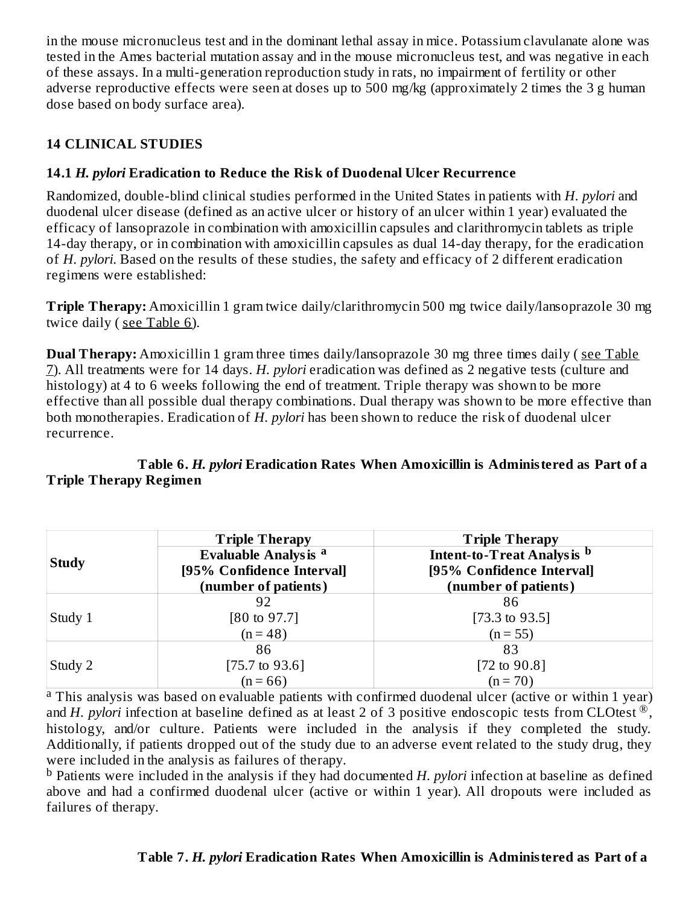in the mouse micronucleus test and in the dominant lethal assay in mice. Potassium clavulanate alone was tested in the Ames bacterial mutation assay and in the mouse micronucleus test, and was negative in each of these assays. In a multi-generation reproduction study in rats, no impairment of fertility or other adverse reproductive effects were seen at doses up to 500 mg/kg (approximately 2 times the 3 g human dose based on body surface area).

# **14 CLINICAL STUDIES**

# **14.1** *H. pylori* **Eradication to Reduce the Risk of Duodenal Ulcer Recurrence**

Randomized, double-blind clinical studies performed in the United States in patients with *H. pylori* and duodenal ulcer disease (defined as an active ulcer or history of an ulcer within 1 year) evaluated the efficacy of lansoprazole in combination with amoxicillin capsules and clarithromycin tablets as triple 14-day therapy, or in combination with amoxicillin capsules as dual 14-day therapy, for the eradication of *H. pylori*. Based on the results of these studies, the safety and efficacy of 2 different eradication regimens were established:

**Triple Therapy:** Amoxicillin 1 gram twice daily/clarithromycin 500 mg twice daily/lansoprazole 30 mg twice daily (see Table 6).

**Dual Therapy:** Amoxicillin 1 gram three times daily/lansoprazole 30 mg three times daily ( see Table 7). All treatments were for 14 days. *H. pylori* eradication was defined as 2 negative tests (culture and histology) at 4 to 6 weeks following the end of treatment. Triple therapy was shown to be more effective than all possible dual therapy combinations. Dual therapy was shown to be more effective than both monotherapies. Eradication of *H. pylori* has been shown to reduce the risk of duodenal ulcer recurrence.

#### **Table 6.** *H. pylori* **Eradication Rates When Amoxicillin is Administered as Part of a Triple Therapy Regimen**

|              | <b>Triple Therapy</b>       | <b>Triple Therapy</b>                 |  |  |  |  |
|--------------|-----------------------------|---------------------------------------|--|--|--|--|
| <b>Study</b> | <b>Evaluable Analysis a</b> | Intent-to-Treat Analysis <sup>b</sup> |  |  |  |  |
|              | [95% Confidence Interval]   | [95% Confidence Interval]             |  |  |  |  |
|              | (number of patients)        | (number of patients)                  |  |  |  |  |
|              | 92                          | 86                                    |  |  |  |  |
| Study 1      | $[80 \text{ to } 97.7]$     | $[73.3 \text{ to } 93.5]$             |  |  |  |  |
|              | $(n = 48)$                  | $(n = 55)$                            |  |  |  |  |
|              | 86                          | 83                                    |  |  |  |  |
| Study 2      | $[75.7 \text{ to } 93.6]$   | [72 to $90.8$ ]                       |  |  |  |  |
|              | $(n = 66)$                  | $(n = 70)$                            |  |  |  |  |

<sup>a</sup> This analysis was based on evaluable patients with confirmed duodenal ulcer (active or within 1 year) and *H. pylori* infection at baseline defined as at least 2 of 3 positive endoscopic tests from CLOtest ®, histology, and/or culture. Patients were included in the analysis if they completed the study. Additionally, if patients dropped out of the study due to an adverse event related to the study drug, they were included in the analysis as failures of therapy.

<sup>b</sup> Patients were included in the analysis if they had documented *H. pylori* infection at baseline as defined above and had a confirmed duodenal ulcer (active or within 1 year). All dropouts were included as failures of therapy.

## **Table 7.** *H. pylori* **Eradication Rates When Amoxicillin is Administered as Part of a**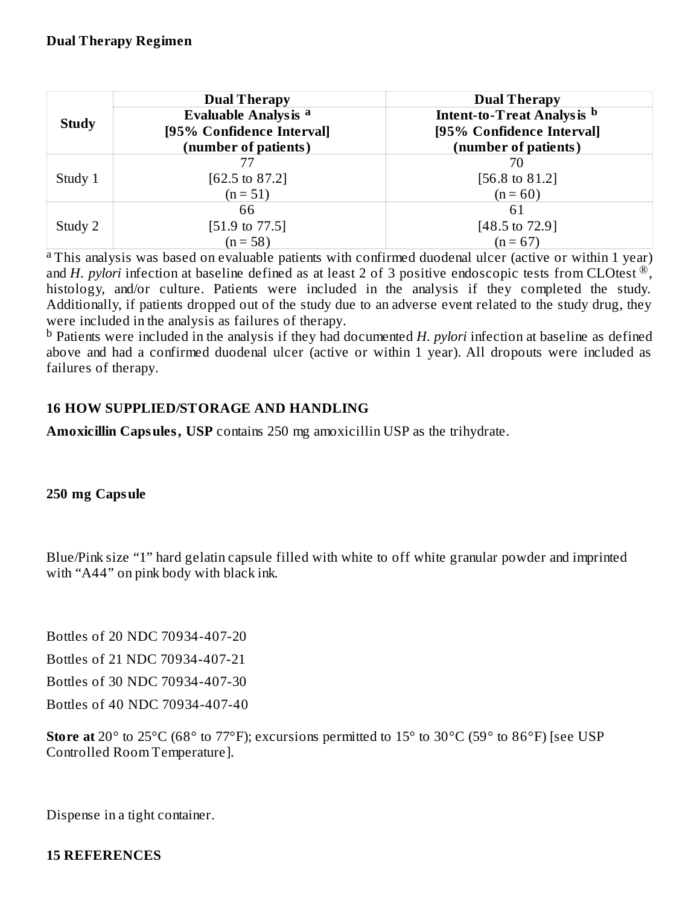|              | <b>Dual Therapy</b>         | <b>Dual Therapy</b>               |
|--------------|-----------------------------|-----------------------------------|
| <b>Study</b> | <b>Evaluable Analysis a</b> | <b>Intent-to-Treat Analysis b</b> |
|              | [95% Confidence Interval]   | [95% Confidence Interval]         |
|              | (number of patients)        | (number of patients)              |
|              |                             |                                   |
| Study 1      | $[62.5 \text{ to } 87.2]$   | [56.8 to 81.2]                    |
|              | $(n = 51)$                  | $(n = 60)$                        |
|              | 66                          | 61                                |
| Study 2      | $[51.9 \text{ to } 77.5]$   | $[48.5 \text{ to } 72.9]$         |
|              | $(n = 58)$                  | $(n = 67)$                        |

<sup>a</sup> This analysis was based on evaluable patients with confirmed duodenal ulcer (active or within 1 year) and *H. pylori* infection at baseline defined as at least 2 of 3 positive endoscopic tests from CLOtest  $^{\circledR}$ , histology, and/or culture. Patients were included in the analysis if they completed the study. Additionally, if patients dropped out of the study due to an adverse event related to the study drug, they were included in the analysis as failures of therapy.

<sup>b</sup> Patients were included in the analysis if they had documented *H. pylori* infection at baseline as defined above and had a confirmed duodenal ulcer (active or within 1 year). All dropouts were included as failures of therapy.

#### **16 HOW SUPPLIED/STORAGE AND HANDLING**

**Amoxicillin Capsules, USP** contains 250 mg amoxicillin USP as the trihydrate.

#### **250 mg Capsule**

Blue/Pink size "1" hard gelatin capsule filled with white to off white granular powder and imprinted with "A44" on pink body with black ink.

Bottles of 20 NDC 70934-407-20

Bottles of 21 NDC 70934-407-21

Bottles of 30 NDC 70934-407-30

Bottles of 40 NDC 70934-407-40

**Store at** 20° to 25°C (68° to 77°F); excursions permitted to 15° to 30°C (59° to 86°F) [see USP Controlled Room Temperature].

Dispense in a tight container.

#### **15 REFERENCES**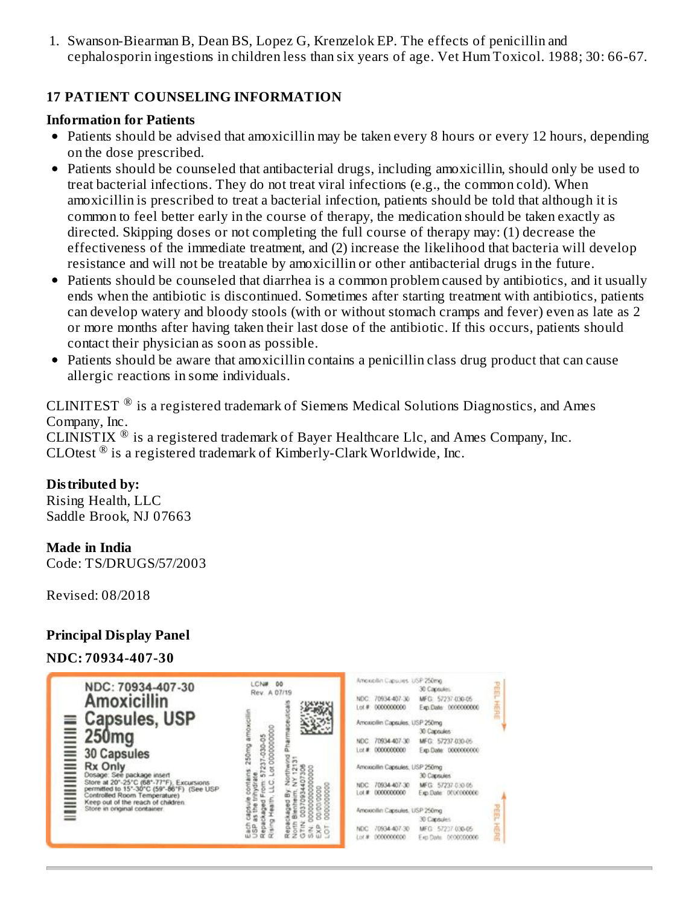1. Swanson-Biearman B, Dean BS, Lopez G, Krenzelok EP. The effects of penicillin and cephalosporin ingestions in children less than six years of age. Vet Hum Toxicol. 1988; 30: 66-67.

#### **17 PATIENT COUNSELING INFORMATION**

#### **Information for Patients**

- Patients should be advised that amoxicillin may be taken every 8 hours or every 12 hours, depending on the dose prescribed.
- Patients should be counseled that antibacterial drugs, including amoxicillin, should only be used to treat bacterial infections. They do not treat viral infections (e.g., the common cold). When amoxicillin is prescribed to treat a bacterial infection, patients should be told that although it is common to feel better early in the course of therapy, the medication should be taken exactly as directed. Skipping doses or not completing the full course of therapy may: (1) decrease the effectiveness of the immediate treatment, and (2) increase the likelihood that bacteria will develop resistance and will not be treatable by amoxicillin or other antibacterial drugs in the future.
- Patients should be counseled that diarrhea is a common problem caused by antibiotics, and it usually ends when the antibiotic is discontinued. Sometimes after starting treatment with antibiotics, patients can develop watery and bloody stools (with or without stomach cramps and fever) even as late as 2 or more months after having taken their last dose of the antibiotic. If this occurs, patients should contact their physician as soon as possible.
- Patients should be aware that amoxicillin contains a penicillin class drug product that can cause  $\bullet$ allergic reactions in some individuals.

CLINITEST  $^{\circledR}$  is a registered trademark of Siemens Medical Solutions Diagnostics, and Ames Company, Inc.

CLINISTIX  $^{\circledR}$  is a registered trademark of Bayer Healthcare Llc, and Ames Company, Inc. CLOtest  $^{\circledR}$  is a registered trademark of Kimberly-Clark Worldwide, Inc.

#### **Distributed by:**

Rising Health, LLC Saddle Brook, NJ 07663

#### **Made in India**

Code: TS/DRUGS/57/2003

Revised: 08/2018

#### **Principal Display Panel**

#### **NDC: 70934-407-30**

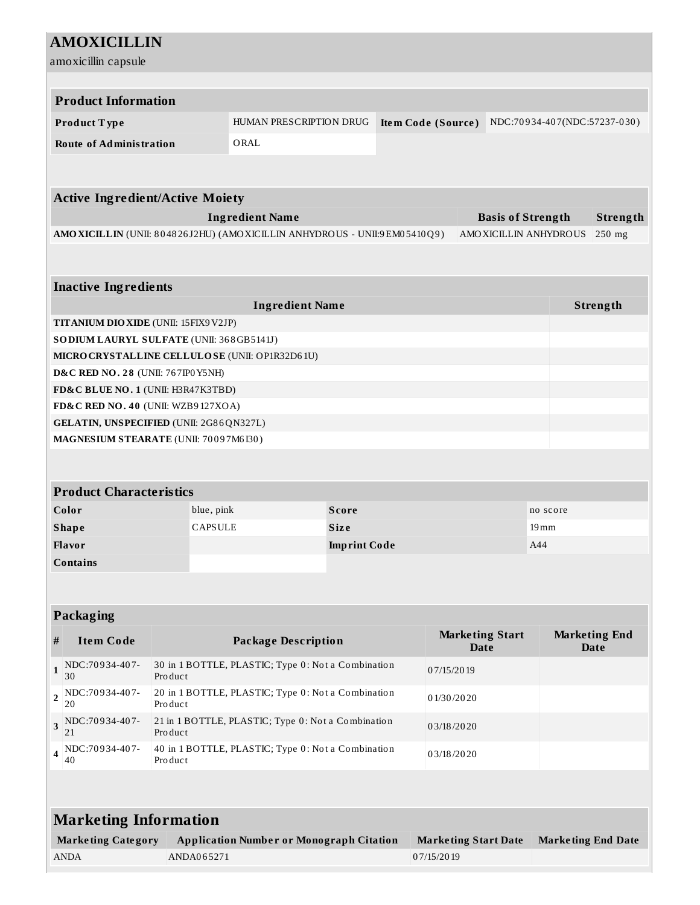| <b>AMOXICILLIN</b>                                                                   |                                                                                                             |                                                                            |                     |  |            |  |                       |                                     |  |          |
|--------------------------------------------------------------------------------------|-------------------------------------------------------------------------------------------------------------|----------------------------------------------------------------------------|---------------------|--|------------|--|-----------------------|-------------------------------------|--|----------|
| amoxicillin capsule                                                                  |                                                                                                             |                                                                            |                     |  |            |  |                       |                                     |  |          |
|                                                                                      |                                                                                                             |                                                                            |                     |  |            |  |                       |                                     |  |          |
| <b>Product Information</b>                                                           |                                                                                                             |                                                                            |                     |  |            |  |                       |                                     |  |          |
| Product Type                                                                         | HUMAN PRESCRIPTION DRUG<br>NDC:70934-407(NDC:57237-030)<br>Item Code (Source)                               |                                                                            |                     |  |            |  |                       |                                     |  |          |
| <b>Route of Administration</b>                                                       |                                                                                                             | ORAL                                                                       |                     |  |            |  |                       |                                     |  |          |
|                                                                                      |                                                                                                             |                                                                            |                     |  |            |  |                       |                                     |  |          |
|                                                                                      |                                                                                                             |                                                                            |                     |  |            |  |                       |                                     |  |          |
| <b>Active Ingredient/Active Moiety</b>                                               |                                                                                                             |                                                                            |                     |  |            |  |                       |                                     |  |          |
| <b>Ingredient Name</b><br><b>Basis of Strength</b>                                   |                                                                                                             |                                                                            |                     |  |            |  |                       | Strength                            |  |          |
|                                                                                      |                                                                                                             | AMO XICILLIN (UNII: 804826J2HU) (AMO XICILLIN ANHYDROUS - UNII:9EM05410Q9) |                     |  |            |  | AMOXICILLIN ANHYDROUS |                                     |  | 250 mg   |
|                                                                                      |                                                                                                             |                                                                            |                     |  |            |  |                       |                                     |  |          |
|                                                                                      |                                                                                                             |                                                                            |                     |  |            |  |                       |                                     |  |          |
| <b>Inactive Ingredients</b>                                                          |                                                                                                             |                                                                            |                     |  |            |  |                       |                                     |  |          |
|                                                                                      |                                                                                                             | <b>Ingredient Name</b>                                                     |                     |  |            |  |                       |                                     |  | Strength |
| <b>TITANIUM DIO XIDE (UNII: 15FIX9 V2JP)</b>                                         |                                                                                                             |                                                                            |                     |  |            |  |                       |                                     |  |          |
| SO DIUM LAURYL SULFATE (UNII: 368GB5141J)                                            |                                                                                                             |                                                                            |                     |  |            |  |                       |                                     |  |          |
| MICRO CRYSTALLINE CELLULOSE (UNII: OP1R32D61U)<br>D&C RED NO. 28 (UNII: 767IP0 Y5NH) |                                                                                                             |                                                                            |                     |  |            |  |                       |                                     |  |          |
| FD&C BLUE NO. 1 (UNII: H3R47K3TBD)                                                   |                                                                                                             |                                                                            |                     |  |            |  |                       |                                     |  |          |
| FD&C RED NO. 40 (UNII: WZB9127XOA)                                                   |                                                                                                             |                                                                            |                     |  |            |  |                       |                                     |  |          |
| GELATIN, UNSPECIFIED (UNII: 2G86QN327L)                                              |                                                                                                             |                                                                            |                     |  |            |  |                       |                                     |  |          |
| MAGNESIUM STEARATE (UNII: 70097M6I30)                                                |                                                                                                             |                                                                            |                     |  |            |  |                       |                                     |  |          |
|                                                                                      |                                                                                                             |                                                                            |                     |  |            |  |                       |                                     |  |          |
|                                                                                      |                                                                                                             |                                                                            |                     |  |            |  |                       |                                     |  |          |
| <b>Product Characteristics</b>                                                       |                                                                                                             |                                                                            |                     |  |            |  |                       |                                     |  |          |
| Color                                                                                | blue, pink                                                                                                  |                                                                            | <b>Score</b>        |  |            |  |                       | no score                            |  |          |
| <b>Shape</b>                                                                         | <b>CAPSULE</b>                                                                                              |                                                                            | <b>Size</b>         |  |            |  |                       | $19 \,\mathrm{mm}$                  |  |          |
| Flavor                                                                               |                                                                                                             |                                                                            | <b>Imprint Code</b> |  |            |  |                       | A44                                 |  |          |
| <b>Contains</b>                                                                      |                                                                                                             |                                                                            |                     |  |            |  |                       |                                     |  |          |
|                                                                                      |                                                                                                             |                                                                            |                     |  |            |  |                       |                                     |  |          |
|                                                                                      |                                                                                                             |                                                                            |                     |  |            |  |                       |                                     |  |          |
| Packaging                                                                            |                                                                                                             |                                                                            |                     |  |            |  |                       |                                     |  |          |
| <b>Item Code</b><br>#                                                                | <b>Marketing Start</b><br><b>Package Description</b><br><b>Date</b>                                         |                                                                            |                     |  |            |  |                       | <b>Marketing End</b><br><b>Date</b> |  |          |
| NDC:70934-407-<br>$\mathbf{1}$<br>30                                                 | 30 in 1 BOTTLE, PLASTIC; Type 0: Not a Combination<br>07/15/2019<br>Product                                 |                                                                            |                     |  |            |  |                       |                                     |  |          |
| NDC:70934-407-<br>2<br>20                                                            | 20 in 1 BOTTLE, PLASTIC; Type 0: Not a Combination<br>01/30/2020<br>Product                                 |                                                                            |                     |  |            |  |                       |                                     |  |          |
| NDC:70934-407-<br>3<br>21                                                            | 21 in 1 BOTTLE, PLASTIC; Type 0: Not a Combination<br>03/18/2020<br>Product                                 |                                                                            |                     |  |            |  |                       |                                     |  |          |
| NDC:70934-407-<br>4<br>40                                                            | 40 in 1 BOTTLE, PLASTIC; Type 0: Not a Combination<br>03/18/2020<br>Product                                 |                                                                            |                     |  |            |  |                       |                                     |  |          |
|                                                                                      |                                                                                                             |                                                                            |                     |  |            |  |                       |                                     |  |          |
|                                                                                      |                                                                                                             |                                                                            |                     |  |            |  |                       |                                     |  |          |
| <b>Marketing Information</b>                                                         |                                                                                                             |                                                                            |                     |  |            |  |                       |                                     |  |          |
| <b>Marketing Category</b>                                                            | <b>Application Number or Monograph Citation</b><br><b>Marketing Start Date</b><br><b>Marketing End Date</b> |                                                                            |                     |  |            |  |                       |                                     |  |          |
| <b>ANDA</b>                                                                          | ANDA065271                                                                                                  |                                                                            |                     |  | 07/15/2019 |  |                       |                                     |  |          |